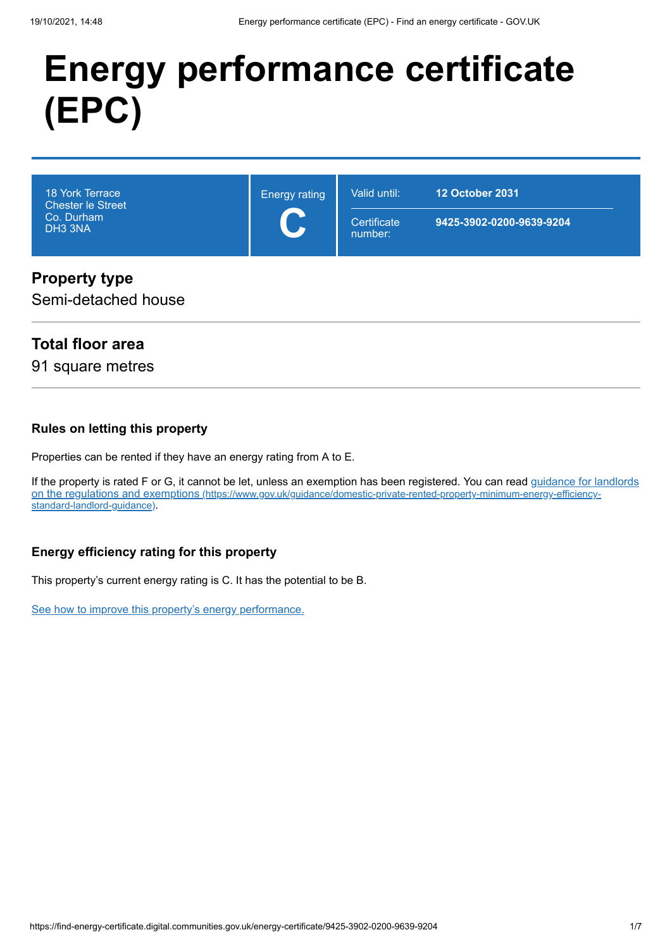# **Energy performance certificate (EPC)**

| <b>18 York Terrace</b><br><b>Chester le Street</b><br>Co. Durham<br>DH3 3NA | <b>Energy rating</b><br>$\overline{\phantom{a}}$ | Valid until:<br>Certificate<br>number: | <b>12 October 2031</b><br>9425-3902-0200-9639-9204 |
|-----------------------------------------------------------------------------|--------------------------------------------------|----------------------------------------|----------------------------------------------------|
| Dronorty type                                                               |                                                  |                                        |                                                    |

### **Property type**

Semi-detached house

### **Total floor area**

91 square metres

#### **Rules on letting this property**

Properties can be rented if they have an energy rating from A to E.

[If the property is rated F or G, it cannot be let, unless an exemption has been registered. You can read guidance for landlords](https://www.gov.uk/guidance/domestic-private-rented-property-minimum-energy-efficiency-standard-landlord-guidance) on the regulations and exemptions (https://www.gov.uk/guidance/domestic-private-rented-property-minimum-energy-efficiencystandard-landlord-guidance).

#### **Energy efficiency rating for this property**

This property's current energy rating is C. It has the potential to be B.

[See how to improve this property's energy performance.](#page-3-0)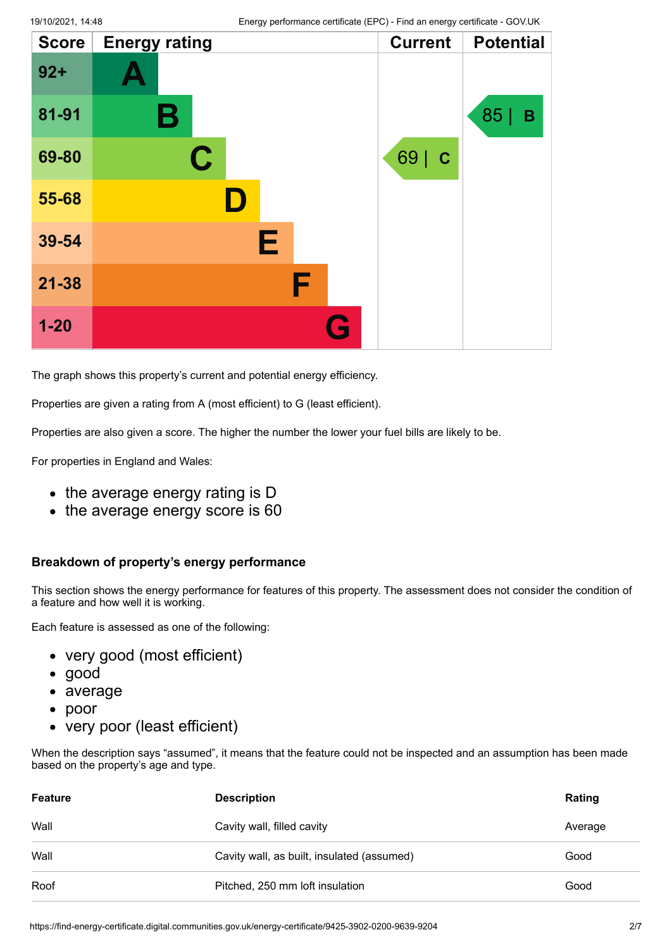| <b>Score</b> | <b>Energy rating</b> |   | <b>Current</b>      | <b>Potential</b> |
|--------------|----------------------|---|---------------------|------------------|
| $92 +$       |                      |   |                     |                  |
| 81-91        | Β                    |   |                     | 85 <br>B         |
| 69-80        | $\mathbf C$          |   | 69  <br>$\mathbf C$ |                  |
| 55-68        |                      |   |                     |                  |
| 39-54        |                      | Е |                     |                  |
| $21 - 38$    |                      | F |                     |                  |
| $1 - 20$     |                      | G |                     |                  |

The graph shows this property's current and potential energy efficiency.

Properties are given a rating from A (most efficient) to G (least efficient).

Properties are also given a score. The higher the number the lower your fuel bills are likely to be.

For properties in England and Wales:

- the average energy rating is D
- the average energy score is 60

#### **Breakdown of property's energy performance**

This section shows the energy performance for features of this property. The assessment does not consider the condition of a feature and how well it is working.

Each feature is assessed as one of the following:

- very good (most efficient)
- good
- average
- poor  $\bullet$
- very poor (least efficient)

When the description says "assumed", it means that the feature could not be inspected and an assumption has been made based on the property's age and type.

| <b>Feature</b> | <b>Description</b>                         | Rating  |
|----------------|--------------------------------------------|---------|
| Wall           | Cavity wall, filled cavity                 | Average |
| Wall           | Cavity wall, as built, insulated (assumed) | Good    |
| Roof           | Pitched, 250 mm loft insulation            | Good    |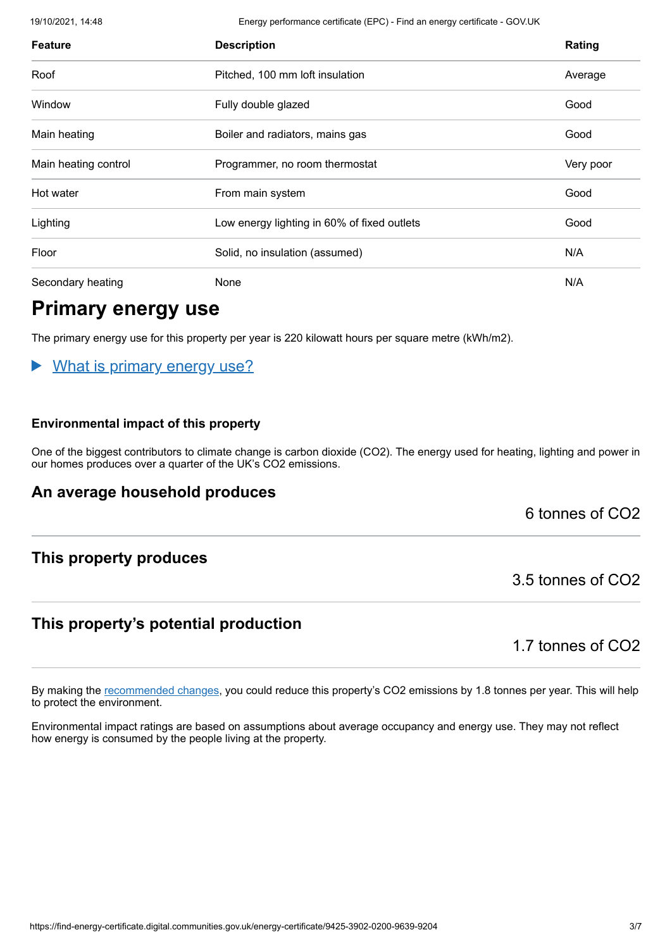19/10/2021, 14:48 Energy performance certificate (EPC) - Find an energy certificate - GOV.UK

| <b>Feature</b>       | <b>Description</b>                          | Rating    |
|----------------------|---------------------------------------------|-----------|
| Roof                 | Pitched, 100 mm loft insulation             | Average   |
| Window               | Fully double glazed                         | Good      |
| Main heating         | Boiler and radiators, mains gas             | Good      |
| Main heating control | Programmer, no room thermostat              | Very poor |
| Hot water            | From main system                            | Good      |
| Lighting             | Low energy lighting in 60% of fixed outlets | Good      |
| Floor                | Solid, no insulation (assumed)              | N/A       |
| Secondary heating    | None                                        | N/A       |

### **Primary energy use**

The primary energy use for this property per year is 220 kilowatt hours per square metre (kWh/m2).

#### What is primary energy use?  $\blacktriangleright$

#### **Environmental impact of this property**

One of the biggest contributors to climate change is carbon dioxide (CO2). The energy used for heating, lighting and power in our homes produces over a quarter of the UK's CO2 emissions.

#### **An average household produces**

6 tonnes of CO2

#### **This property produces**

#### **This property's potential production**

1.7 tonnes of CO2

3.5 tonnes of CO2

By making the [recommended changes](#page-3-0), you could reduce this property's CO2 emissions by 1.8 tonnes per year. This will help to protect the environment.

Environmental impact ratings are based on assumptions about average occupancy and energy use. They may not reflect how energy is consumed by the people living at the property.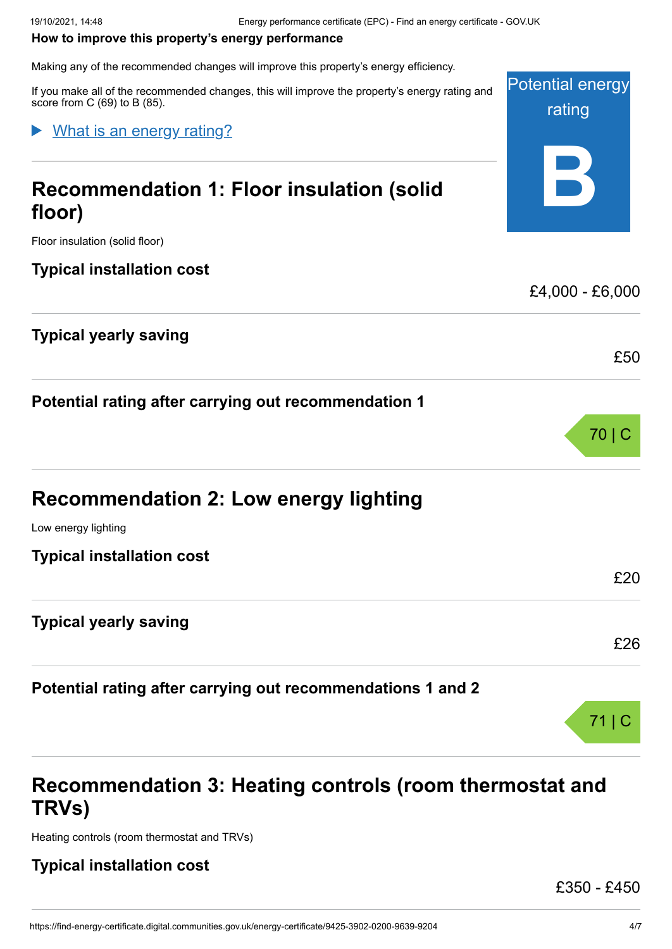#### <span id="page-3-0"></span>**How to improve this property's energy performance**

Making any of the recommended changes will improve this property's energy efficiency.

Potential energy rating **B** If you make all of the recommended changes, this will improve the property's energy rating and score from C (69) to B (85). What is an energy rating?

## **Recommendation 1: Floor insulation (solid floor)**

Floor insulation (solid floor)

#### **Typical installation cost**

#### **Typical yearly saving**

**Potential rating after carrying out recommendation 1**

Low energy lighting

**Typical installation cost**

#### **Typical yearly saving**

**Potential rating after carrying out recommendations 1 and 2**

### **Recommendation 3: Heating controls (room thermostat and TRVs)**

Heating controls (room thermostat and TRVs)

#### **Typical installation cost**

£350 - £450

£4,000 - £6,000

£50

£20

£26

71 | C

70 | C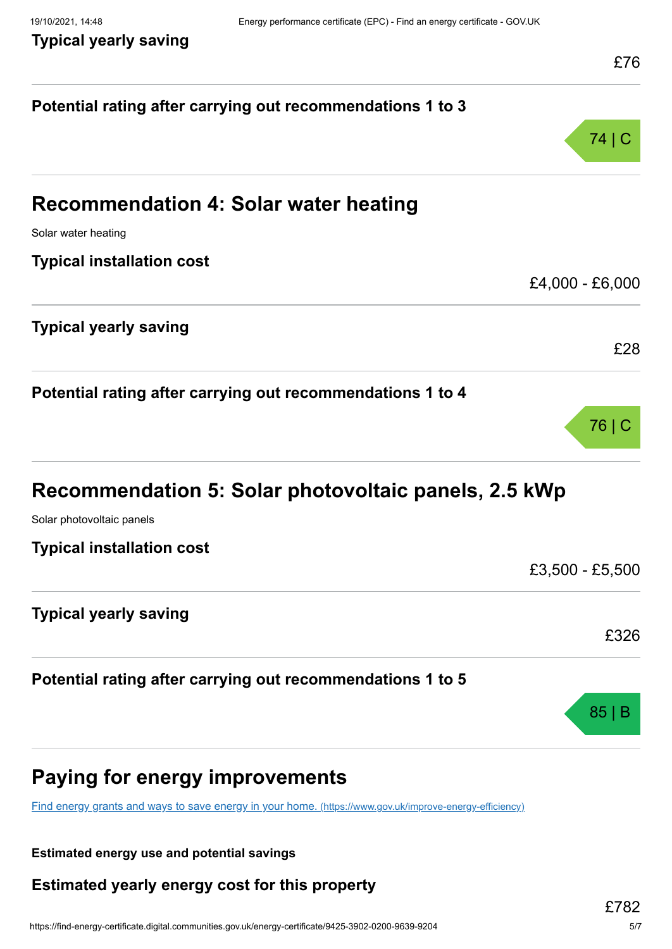| Potential rating after carrying out recommendations 1 to 3 |                 |
|------------------------------------------------------------|-----------------|
|                                                            | 74   C          |
| <b>Recommendation 4: Solar water heating</b>               |                 |
| Solar water heating                                        |                 |
| <b>Typical installation cost</b>                           |                 |
|                                                            | £4,000 - £6,000 |
| <b>Typical yearly saving</b>                               |                 |
|                                                            | £28             |
| Potential rating after carrying out recommendations 1 to 4 |                 |
|                                                            | 76   C          |
| Recommendation 5: Solar photovoltaic panels, 2.5 kWp       |                 |
| Solar photovoltaic panels                                  |                 |
| <b>Typical installation cost</b>                           | £3,500 - £5,500 |
|                                                            |                 |
| <b>Typical yearly saving</b>                               | £326            |
|                                                            |                 |
| Potential rating after carrying out recommendations 1 to 5 |                 |
|                                                            | 85 I            |
| Paying for energy improvements                             |                 |

[Find energy grants and ways to save energy in your home.](https://www.gov.uk/improve-energy-efficiency) (https://www.gov.uk/improve-energy-efficiency)

**Estimated energy use and potential savings**

**Estimated yearly energy cost for this property**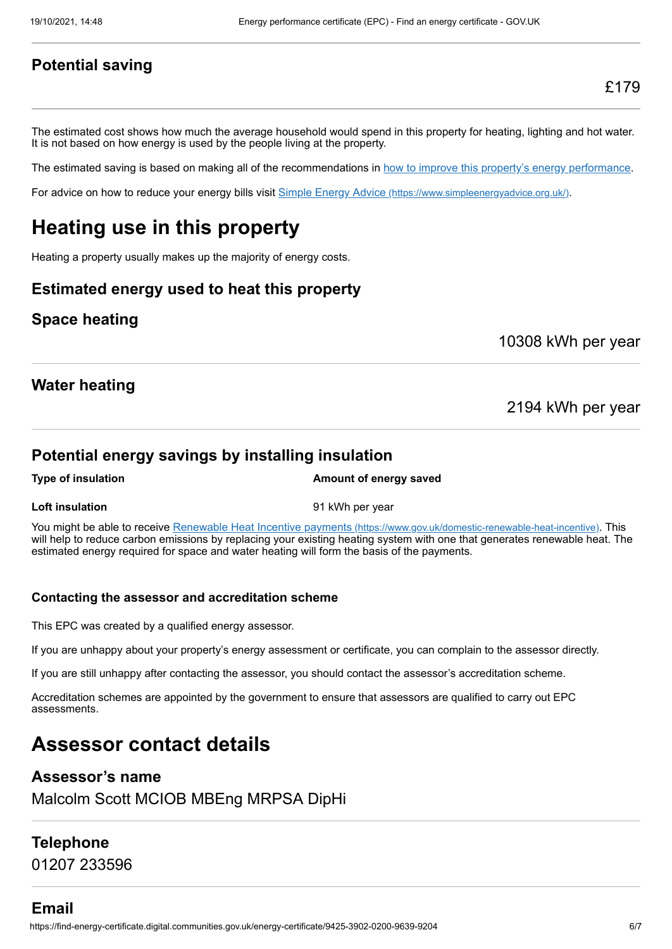#### **Potential saving**

The estimated cost shows how much the average household would spend in this property for heating, lighting and hot water. It is not based on how energy is used by the people living at the property.

The estimated saving is based on making all of the recommendations in [how to improve this property's energy performance.](#page-3-0)

For advice on how to reduce your energy bills visit Simple Energy Advice [\(https://www.simpleenergyadvice.org.uk/\)](https://www.simpleenergyadvice.org.uk/).

### **Heating use in this property**

Heating a property usually makes up the majority of energy costs.

#### **Estimated energy used to heat this property**

#### **Space heating**

10308 kWh per year

#### **Water heating**

2194 kWh per year

#### **Potential energy savings by installing insulation**

**Type of insulation Amount of energy saved** 

**Loft insulation** example the state of the 91 kWh per year

You might be able to receive Renewable Heat Incentive payments [\(https://www.gov.uk/domestic-renewable-heat-incentive\)](https://www.gov.uk/domestic-renewable-heat-incentive). This will help to reduce carbon emissions by replacing your existing heating system with one that generates renewable heat. The estimated energy required for space and water heating will form the basis of the payments.

#### **Contacting the assessor and accreditation scheme**

This EPC was created by a qualified energy assessor.

If you are unhappy about your property's energy assessment or certificate, you can complain to the assessor directly.

If you are still unhappy after contacting the assessor, you should contact the assessor's accreditation scheme.

Accreditation schemes are appointed by the government to ensure that assessors are qualified to carry out EPC assessments.

### **Assessor contact details**

#### **Assessor's name**

Malcolm Scott MCIOB MBEng MRPSA DipHi

#### **Telephone**

01207 233596